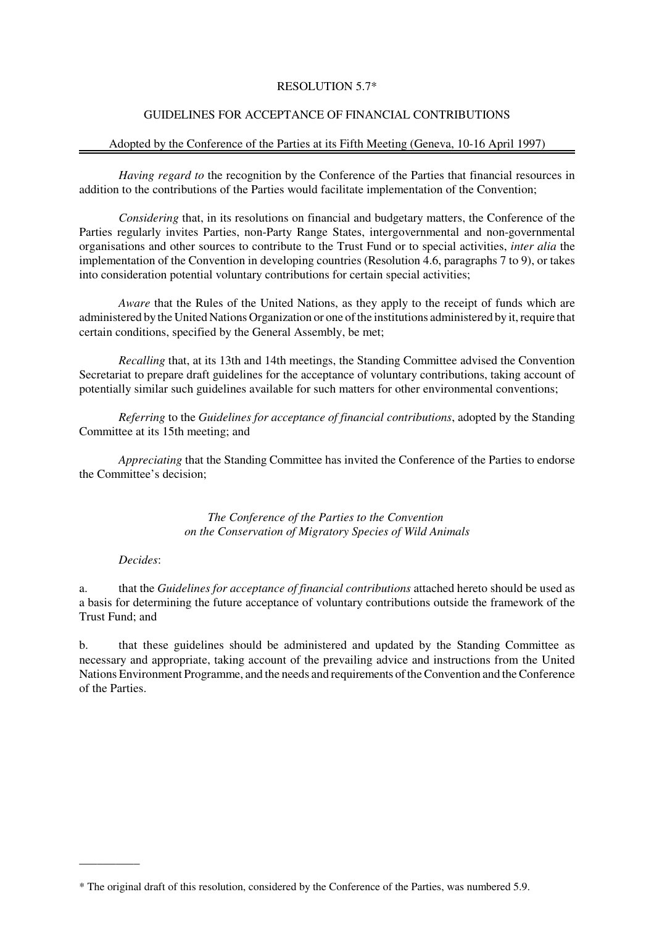## RESOLUTION 5.7\*

# GUIDELINES FOR ACCEPTANCE OF FINANCIAL CONTRIBUTIONS

## Adopted by the Conference of the Parties at its Fifth Meeting (Geneva, 10-16 April 1997)

*Having regard to* the recognition by the Conference of the Parties that financial resources in addition to the contributions of the Parties would facilitate implementation of the Convention;

*Considering* that, in its resolutions on financial and budgetary matters, the Conference of the Parties regularly invites Parties, non-Party Range States, intergovernmental and non-governmental organisations and other sources to contribute to the Trust Fund or to special activities, *inter alia* the implementation of the Convention in developing countries (Resolution 4.6, paragraphs 7 to 9), or takes into consideration potential voluntary contributions for certain special activities;

*Aware* that the Rules of the United Nations, as they apply to the receipt of funds which are administered by the United Nations Organization or one of the institutions administered by it, require that certain conditions, specified by the General Assembly, be met;

*Recalling* that, at its 13th and 14th meetings, the Standing Committee advised the Convention Secretariat to prepare draft guidelines for the acceptance of voluntary contributions, taking account of potentially similar such guidelines available for such matters for other environmental conventions;

*Referring* to the *Guidelines for acceptance of financial contributions*, adopted by the Standing Committee at its 15th meeting; and

*Appreciating* that the Standing Committee has invited the Conference of the Parties to endorse the Committee's decision;

> *The Conference of the Parties to the Convention on the Conservation of Migratory Species of Wild Animals*

## *Decides*:

\_\_\_\_\_\_\_\_\_\_

a. that the *Guidelines for acceptance of financial contributions* attached hereto should be used as a basis for determining the future acceptance of voluntary contributions outside the framework of the Trust Fund; and

b. that these guidelines should be administered and updated by the Standing Committee as necessary and appropriate, taking account of the prevailing advice and instructions from the United Nations Environment Programme, and the needs and requirements of the Convention and the Conference of the Parties.

<sup>\*</sup> The original draft of this resolution, considered by the Conference of the Parties, was numbered 5.9.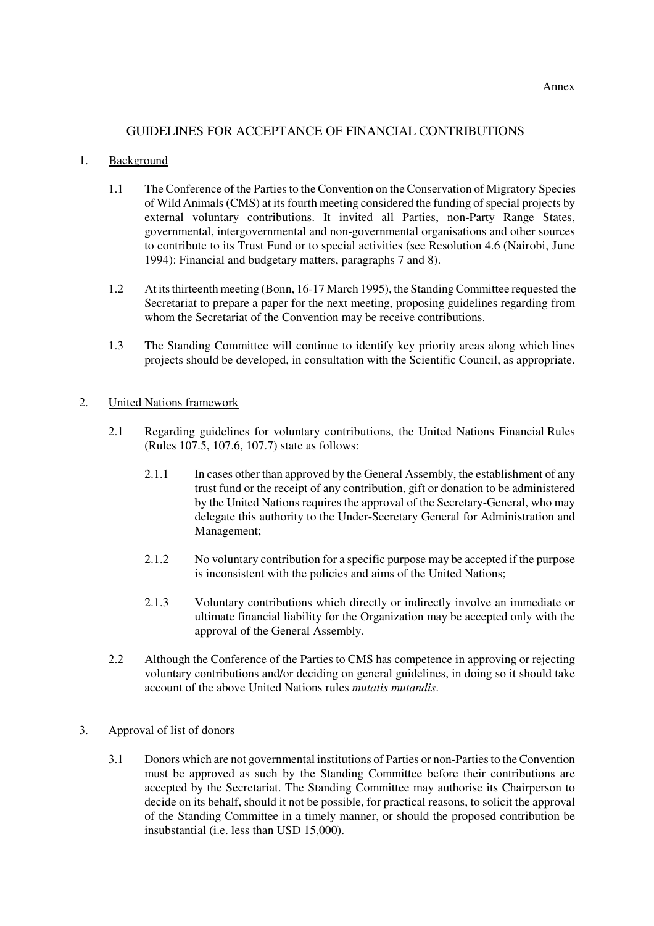# GUIDELINES FOR ACCEPTANCE OF FINANCIAL CONTRIBUTIONS

## 1. Background

- 1.1 The Conference of the Parties to the Convention on the Conservation of Migratory Species of Wild Animals (CMS) at its fourth meeting considered the funding of special projects by external voluntary contributions. It invited all Parties, non-Party Range States, governmental, intergovernmental and non-governmental organisations and other sources to contribute to its Trust Fund or to special activities (see Resolution 4.6 (Nairobi, June 1994): Financial and budgetary matters, paragraphs 7 and 8).
- 1.2 At its thirteenth meeting (Bonn, 16-17 March 1995), the Standing Committee requested the Secretariat to prepare a paper for the next meeting, proposing guidelines regarding from whom the Secretariat of the Convention may be receive contributions.
- 1.3 The Standing Committee will continue to identify key priority areas along which lines projects should be developed, in consultation with the Scientific Council, as appropriate.

#### 2. United Nations framework

- 2.1 Regarding guidelines for voluntary contributions, the United Nations Financial Rules (Rules 107.5, 107.6, 107.7) state as follows:
	- 2.1.1 In cases other than approved by the General Assembly, the establishment of any trust fund or the receipt of any contribution, gift or donation to be administered by the United Nations requires the approval of the Secretary-General, who may delegate this authority to the Under-Secretary General for Administration and Management;
	- 2.1.2 No voluntary contribution for a specific purpose may be accepted if the purpose is inconsistent with the policies and aims of the United Nations;
	- 2.1.3 Voluntary contributions which directly or indirectly involve an immediate or ultimate financial liability for the Organization may be accepted only with the approval of the General Assembly.
- 2.2 Although the Conference of the Parties to CMS has competence in approving or rejecting voluntary contributions and/or deciding on general guidelines, in doing so it should take account of the above United Nations rules *mutatis mutandis*.

## 3. Approval of list of donors

3.1 Donors which are not governmental institutions of Parties or non-Parties to the Convention must be approved as such by the Standing Committee before their contributions are accepted by the Secretariat. The Standing Committee may authorise its Chairperson to decide on its behalf, should it not be possible, for practical reasons, to solicit the approval of the Standing Committee in a timely manner, or should the proposed contribution be insubstantial (i.e. less than USD 15,000).